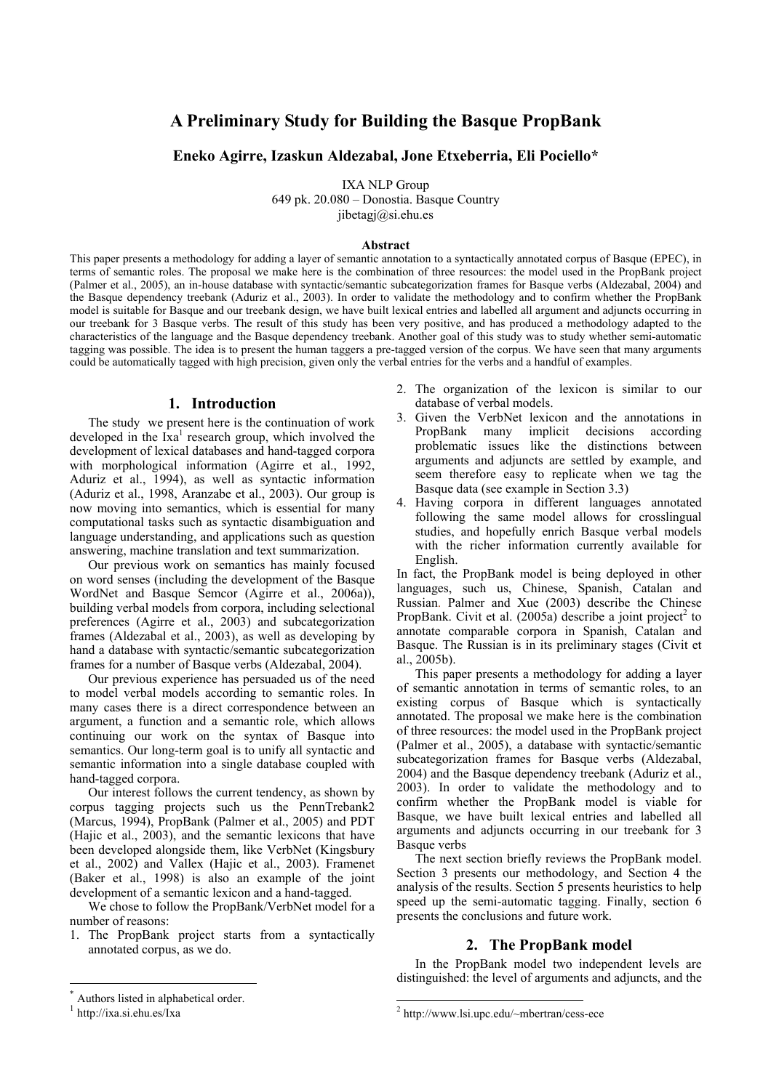# **A Preliminary Study for Building the Basque PropBank**

## **Eneko Agirre, Izaskun Aldezabal, Jone Etxeberria, Eli Pociello\***

IXA NLP Group

649 pk. 20.080 – Donostia. Basque Country

jibetagj@si.ehu.es

#### **Abstract**

This paper presents a methodology for adding a layer of semantic annotation to a syntactically annotated corpus of Basque (EPEC), in terms of semantic roles. The proposal we make here is the combination of three resources: the model used in the PropBank project (Palmer et al., 2005), an in-house database with syntactic/semantic subcategorization frames for Basque verbs (Aldezabal, 2004) and the Basque dependency treebank (Aduriz et al., 2003). In order to validate the methodology and to confirm whether the PropBank model is suitable for Basque and our treebank design, we have built lexical entries and labelled all argument and adjuncts occurring in our treebank for 3 Basque verbs. The result of this study has been very positive, and has produced a methodology adapted to the characteristics of the language and the Basque dependency treebank. Another goal of this study was to study whether semi-automatic tagging was possible. The idea is to present the human taggers a pre-tagged version of the corpus. We have seen that many arguments could be automatically tagged with high precision, given only the verbal entries for the verbs and a handful of examples.

### **1. Introduction**

The study we present here is the continuation of work developed in the  $Ixa^1$  research group, which involved the development of lexical databases and hand-tagged corpora with morphological information (Agirre et al., 1992, Aduriz et al., 1994), as well as syntactic information (Aduriz et al., 1998, Aranzabe et al., 2003). Our group is now moving into semantics, which is essential for many computational tasks such as syntactic disambiguation and language understanding, and applications such as question answering, machine translation and text summarization.

Our previous work on semantics has mainly focused on word senses (including the development of the Basque WordNet and Basque Semcor (Agirre et al., 2006a)), building verbal models from corpora, including selectional preferences (Agirre et al., 2003) and subcategorization frames (Aldezabal et al., 2003), as well as developing by hand a database with syntactic/semantic subcategorization frames for a number of Basque verbs (Aldezabal, 2004).

Our previous experience has persuaded us of the need to model verbal models according to semantic roles. In many cases there is a direct correspondence between an argument, a function and a semantic role, which allows continuing our work on the syntax of Basque into semantics. Our long-term goal is to unify all syntactic and semantic information into a single database coupled with hand-tagged corpora.

Our interest follows the current tendency, as shown by corpus tagging projects such us the PennTrebank2 (Marcus, 1994), PropBank (Palmer et al., 2005) and PDT (Hajic et al., 2003), and the semantic lexicons that have been developed alongside them, like VerbNet (Kingsbury et al., 2002) and Vallex (Hajic et al., 2003). Framenet (Baker et al., 1998) is also an example of the joint development of a semantic lexicon and a hand-tagged.

We chose to follow the PropBank/VerbNet model for a number of reasons:

1. The PropBank project starts from a syntactically annotated corpus, as we do.

- 3. Given the VerbNet lexicon and the annotations in PropBank many implicit decisions according problematic issues like the distinctions between arguments and adjuncts are settled by example, and seem therefore easy to replicate when we tag the Basque data (see example in Section 3.3)
- 4. Having corpora in different languages annotated following the same model allows for crosslingual studies, and hopefully enrich Basque verbal models with the richer information currently available for English.

In fact, the PropBank model is being deployed in other languages, such us, Chinese, Spanish, Catalan and Russian. Palmer and Xue (2003) describe the Chinese PropBank. Civit et al.  $(2005a)$  describe a joint project<sup>2</sup> to annotate comparable corpora in Spanish, Catalan and Basque. The Russian is in its preliminary stages (Civit et al., 2005b).

This paper presents a methodology for adding a layer of semantic annotation in terms of semantic roles, to an existing corpus of Basque which is syntactically annotated. The proposal we make here is the combination of three resources: the model used in the PropBank project (Palmer et al., 2005), a database with syntactic/semantic subcategorization frames for Basque verbs (Aldezabal, 2004) and the Basque dependency treebank (Aduriz et al., 2003). In order to validate the methodology and to confirm whether the PropBank model is viable for Basque, we have built lexical entries and labelled all arguments and adjuncts occurring in our treebank for 3 Basque verbs

The next section briefly reviews the PropBank model. Section 3 presents our methodology, and Section 4 the analysis of the results. Section 5 presents heuristics to help speed up the semi-automatic tagging. Finally, section 6 presents the conclusions and future work.

## **2. The PropBank model**

In the PropBank model two independent levels are distinguished: the level of arguments and adjuncts, and the

l

<sup>2.</sup> The organization of the lexicon is similar to our database of verbal models.

Authors listed in alphabetical order.

<sup>1</sup> http://ixa.si.ehu.es/Ixa

<sup>2</sup> http://www.lsi.upc.edu/~mbertran/cess-ece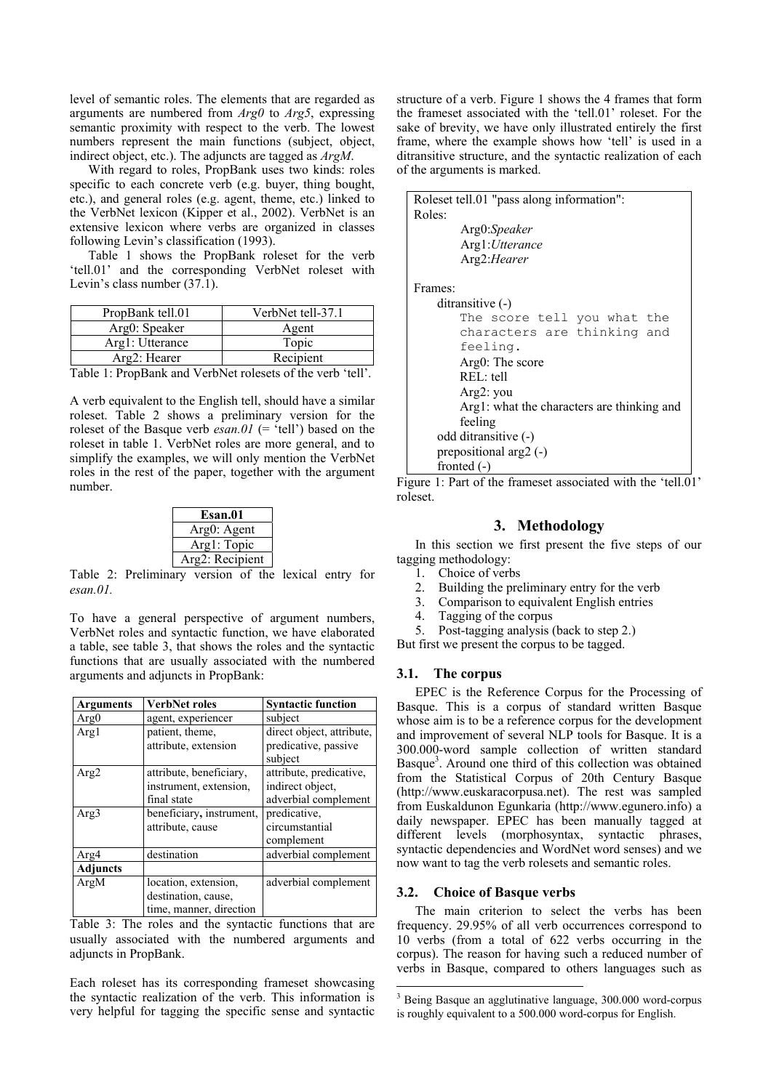level of semantic roles. The elements that are regarded as arguments are numbered from *Arg0* to *Arg5*, expressing semantic proximity with respect to the verb. The lowest numbers represent the main functions (subject, object, indirect object, etc.). The adjuncts are tagged as *ArgM*.

With regard to roles, PropBank uses two kinds: roles specific to each concrete verb (e.g. buyer, thing bought, etc.), and general roles (e.g. agent, theme, etc.) linked to the VerbNet lexicon (Kipper et al., 2002). VerbNet is an extensive lexicon where verbs are organized in classes following Levin's classification (1993).

Table 1 shows the PropBank roleset for the verb 'tell.01' and the corresponding VerbNet roleset with Levin's class number (37.1).

| VerbNet tell-37.1<br>PropBank tell.01 |       |
|---------------------------------------|-------|
| Arg0: Speaker                         | Agent |
| Arg1: Utterance                       | Topic |
| Recipient<br>Arg2: Hearer             |       |
|                                       | ____  |

Table 1: PropBank and VerbNet rolesets of the verb 'tell'.

A verb equivalent to the English tell, should have a similar roleset. Table 2 shows a preliminary version for the roleset of the Basque verb  $esan.01$  (= 'tell') based on the roleset in table 1. VerbNet roles are more general, and to simplify the examples, we will only mention the VerbNet roles in the rest of the paper, together with the argument number.

| Esan.01         |  |
|-----------------|--|
| Arg0: Agent     |  |
| Arg1: Topic     |  |
| Arg2: Recipient |  |

Table 2: Preliminary version of the lexical entry for *esan.01.*

To have a general perspective of argument numbers, VerbNet roles and syntactic function, we have elaborated a table, see table 3, that shows the roles and the syntactic functions that are usually associated with the numbered arguments and adjuncts in PropBank:

| Arguments       | <b>VerbNet roles</b>     | <b>Syntactic function</b> |
|-----------------|--------------------------|---------------------------|
| Arg0            | agent, experiencer       | subject                   |
| Arg1            | patient, theme,          | direct object, attribute, |
|                 | attribute, extension     | predicative, passive      |
|                 |                          | subject                   |
| Arg2            | attribute, beneficiary,  | attribute, predicative,   |
|                 | instrument, extension,   | indirect object.          |
|                 | final state              | adverbial complement      |
| Arg3            | beneficiary, instrument, | predicative,              |
|                 | attribute, cause         | circumstantial            |
|                 |                          | complement                |
| Arg4            | destination              | adverbial complement      |
| <b>Adjuncts</b> |                          |                           |
| ArgM            | location, extension,     | adverbial complement      |
|                 | destination, cause,      |                           |
|                 | time, manner, direction  |                           |

Table 3: The roles and the syntactic functions that are usually associated with the numbered arguments and adjuncts in PropBank.

Each roleset has its corresponding frameset showcasing the syntactic realization of the verb. This information is very helpful for tagging the specific sense and syntactic structure of a verb. Figure 1 shows the 4 frames that form the frameset associated with the 'tell.01' roleset. For the sake of brevity, we have only illustrated entirely the first frame, where the example shows how 'tell' is used in a ditransitive structure, and the syntactic realization of each of the arguments is marked.

Roleset tell.01 "pass along information": Roles: Arg0:*Speaker*  Arg1:*Utterance*  Arg2:*Hearer*  Frames: ditransitive (-) The score tell you what the characters are thinking and feeling. Arg0: The score REL: tell Arg2: you Arg1: what the characters are thinking and feeling odd ditransitive (-) prepositional arg2 (-) fronted (-)

Figure 1: Part of the frameset associated with the 'tell.01' roleset.

## **3. Methodology**

In this section we first present the five steps of our tagging methodology:

- 1. Choice of verbs
- 2. Building the preliminary entry for the verb<br>3. Comparison to equivalent English entries
- Comparison to equivalent English entries
- 4. Tagging of the corpus
- 5. Post-tagging analysis (back to step 2.)

But first we present the corpus to be tagged.

## **3.1. The corpus**

EPEC is the Reference Corpus for the Processing of Basque. This is a corpus of standard written Basque whose aim is to be a reference corpus for the development and improvement of several NLP tools for Basque. It is a 300.000-word sample collection of written standard Basque<sup>3</sup>. Around one third of this collection was obtained from the Statistical Corpus of 20th Century Basque (http://www.euskaracorpusa.net). The rest was sampled from Euskaldunon Egunkaria (http://www.egunero.info) a daily newspaper. EPEC has been manually tagged at different levels (morphosyntax, syntactic phrases, syntactic dependencies and WordNet word senses) and we now want to tag the verb rolesets and semantic roles.

## **3.2. Choice of Basque verbs**

l

The main criterion to select the verbs has been frequency. 29.95% of all verb occurrences correspond to 10 verbs (from a total of 622 verbs occurring in the corpus). The reason for having such a reduced number of verbs in Basque, compared to others languages such as

<sup>&</sup>lt;sup>3</sup> Being Basque an agglutinative language, 300.000 word-corpus is roughly equivalent to a 500.000 word-corpus for English.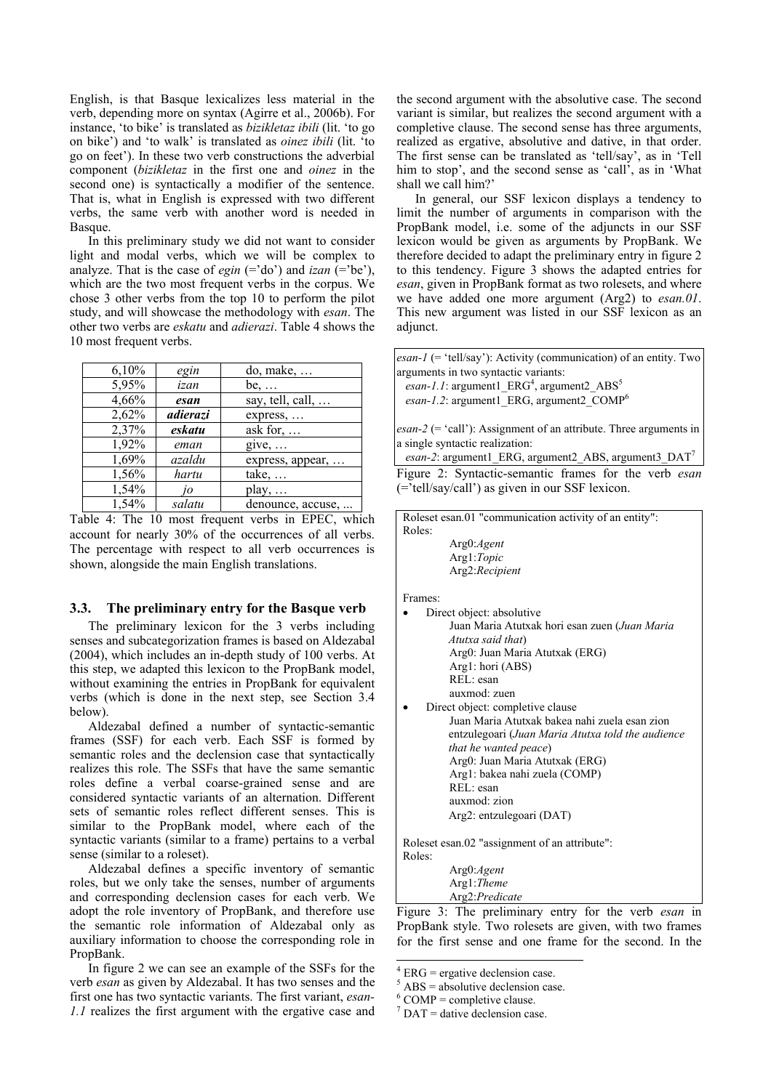English, is that Basque lexicalizes less material in the verb, depending more on syntax (Agirre et al., 2006b). For instance, 'to bike' is translated as *bizikletaz ibili* (lit. 'to go on bike') and 'to walk' is translated as *oinez ibili* (lit. 'to go on feet'). In these two verb constructions the adverbial component (*bizikletaz* in the first one and *oinez* in the second one) is syntactically a modifier of the sentence. That is, what in English is expressed with two different verbs, the same verb with another word is needed in Basque.

In this preliminary study we did not want to consider light and modal verbs, which we will be complex to analyze. That is the case of *egin*  $(= 'do')$  and *izan*  $(= 'be'),$ which are the two most frequent verbs in the corpus. We chose 3 other verbs from the top 10 to perform the pilot study, and will showcase the methodology with *esan*. The other two verbs are *eskatu* and *adierazi*. Table 4 shows the 10 most frequent verbs.

| 6,10% | egin     | $do$ , make,             |
|-------|----------|--------------------------|
| 5,95% | izan     | $be, \ldots$             |
| 4,66% | esan     | say, tell, call, $\dots$ |
| 2,62% | adierazi | express,                 |
| 2,37% | eskatu   | ask for, $\dots$         |
| 1,92% | eman     | give,                    |
| 1,69% | azaldu   | express, appear,         |
| 1,56% | hartu    | take,                    |
| 1,54% | 10       | play, $\dots$            |
| 1,54% | salatu   | denounce, accuse,        |

Table 4: The 10 most frequent verbs in EPEC, which account for nearly 30% of the occurrences of all verbs. The percentage with respect to all verb occurrences is shown, alongside the main English translations.

## **3.3. The preliminary entry for the Basque verb**

The preliminary lexicon for the 3 verbs including senses and subcategorization frames is based on Aldezabal (2004), which includes an in-depth study of 100 verbs. At this step, we adapted this lexicon to the PropBank model, without examining the entries in PropBank for equivalent verbs (which is done in the next step, see Section 3.4 below).

Aldezabal defined a number of syntactic-semantic frames (SSF) for each verb. Each SSF is formed by semantic roles and the declension case that syntactically realizes this role. The SSFs that have the same semantic roles define a verbal coarse-grained sense and are considered syntactic variants of an alternation. Different sets of semantic roles reflect different senses. This is similar to the PropBank model, where each of the syntactic variants (similar to a frame) pertains to a verbal sense (similar to a roleset).

Aldezabal defines a specific inventory of semantic roles, but we only take the senses, number of arguments and corresponding declension cases for each verb. We adopt the role inventory of PropBank, and therefore use the semantic role information of Aldezabal only as auxiliary information to choose the corresponding role in PropBank.

In figure 2 we can see an example of the SSFs for the verb *esan* as given by Aldezabal. It has two senses and the first one has two syntactic variants. The first variant, *esan-1.1* realizes the first argument with the ergative case and the second argument with the absolutive case. The second variant is similar, but realizes the second argument with a completive clause. The second sense has three arguments, realized as ergative, absolutive and dative, in that order. The first sense can be translated as 'tell/say', as in 'Tell him to stop', and the second sense as 'call', as in 'What shall we call him?'

In general, our SSF lexicon displays a tendency to limit the number of arguments in comparison with the PropBank model, i.e. some of the adjuncts in our SSF lexicon would be given as arguments by PropBank. We therefore decided to adapt the preliminary entry in figure 2 to this tendency. Figure 3 shows the adapted entries for *esan*, given in PropBank format as two rolesets, and where we have added one more argument (Arg2) to *esan.01*. This new argument was listed in our SSF lexicon as an adjunct.

*esan-1* (= 'tell/say'): Activity (communication) of an entity. Two arguments in two syntactic variants:

esan-1.1: argument1\_ERG<sup>4</sup>, argument2\_ABS<sup>5</sup> *esan-1.2*: argument1\_ERG, argument2\_COMP<sup>6</sup>

*esan-2* (= 'call'): Assignment of an attribute. Three arguments in a single syntactic realization:

*esan-2*: argument1\_ERG, argument2\_ABS, argument3\_DAT<sup>7</sup> Figure 2: Syntactic-semantic frames for the verb *esan* (='tell/say/call') as given in our SSF lexicon.

Roleset esan.01 "communication activity of an entity": Roles:

| Arg0:Agent         |
|--------------------|
| Arg1: <i>Topic</i> |
| Arg2: Recipient    |

Frames:

| Direct object: absolutive                     |
|-----------------------------------------------|
| Juan Maria Atutxak hori esan zuen (Juan Maria |
| Atutxa said that)                             |
| Arg0: Juan Maria Atutxak (ERG)                |
| Arg1: hori (ABS)                              |
| REL: esan                                     |
| auxmod: zuen                                  |
| Direct object: completive clause              |
| Juan Maria Atutxak bakea nahi zuela esan zion |

entzulegoari (*Juan Maria Atutxa told the audience that he wanted peace*) Arg0: Juan Maria Atutxak (ERG) Arg1: bakea nahi zuela (COMP) REL: esan auxmod: zion Arg2: entzulegoari (DAT)

Roleset esan.02 "assignment of an attribute":

| Roles: |                 |
|--------|-----------------|
|        | Arg0: Agent     |
|        | $Arg1$ : Theme  |
|        | Arg2: Predicate |

Figure 3: The preliminary entry for the verb *esan* in PropBank style. Two rolesets are given, with two frames for the first sense and one frame for the second. In the

l

 $4$  ERG = ergative declension case.

 $<sup>5</sup>$  ABS = absolutive declension case.</sup>

 $6$  COMP = completive clause.

 $7$  DAT = dative declension case.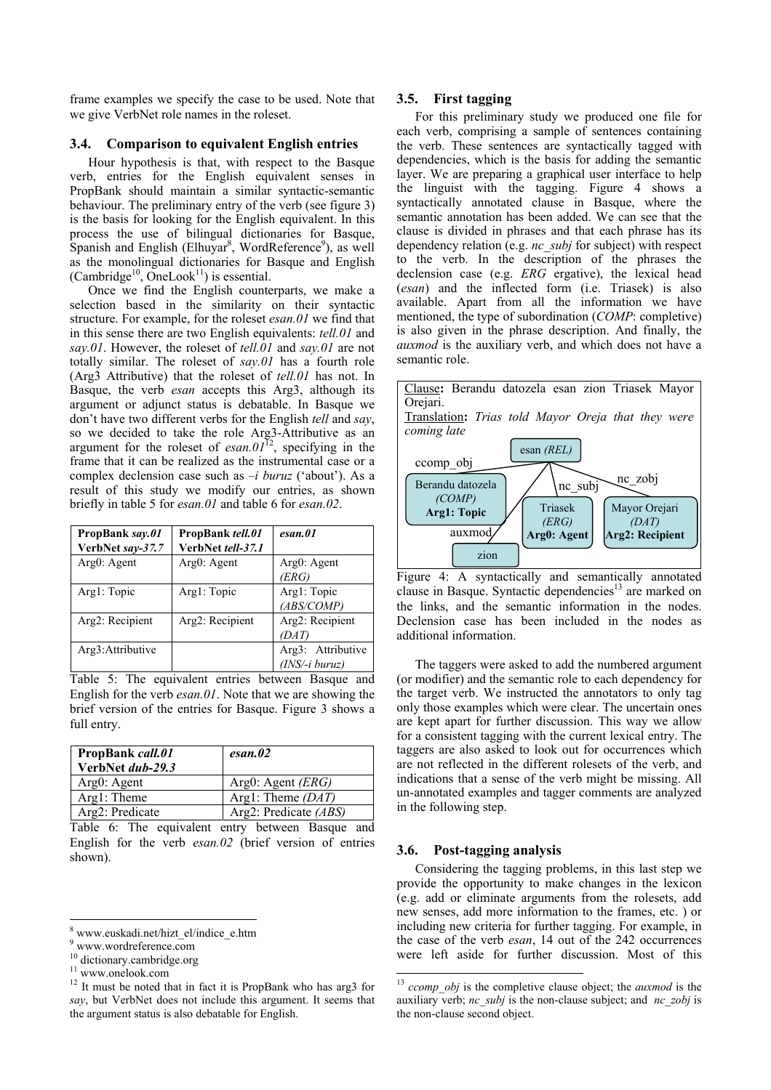frame examples we specify the case to be used. Note that we give VerbNet role names in the roleset.

#### **3.4. Comparison to equivalent English entries**

Hour hypothesis is that, with respect to the Basque verb, entries for the English equivalent senses in PropBank should maintain a similar syntactic-semantic behaviour. The preliminary entry of the verb (see figure 3) is the basis for looking for the English equivalent. In this process the use of bilingual dictionaries for Basque, Spanish and English (Elhuyar<sup>8</sup>, WordReference<sup>9</sup>), as well as the monolingual dictionaries for Basque and English (Cambridge<sup>10</sup>, OneLook<sup>11</sup>) is essential.

Once we find the English counterparts, we make a selection based in the similarity on their syntactic structure. For example, for the roleset *esan.01* we find that in this sense there are two English equivalents: *tell.01* and *say.01*. However, the roleset of *tell.01* and *say.01* are not totally similar. The roleset of *say.01* has a fourth role (Arg3 Attributive) that the roleset of *tell.01* has not. In Basque, the verb *esan* accepts this Arg3, although its argument or adjunct status is debatable. In Basque we don't have two different verbs for the English *tell* and *say*, so we decided to take the role Arg3-Attributive as an argument for the roleset of  $esan.01^{12}$ , specifying in the frame that it can be realized as the instrumental case or a complex declension case such as *–i buruz* ('about'). As a result of this study we modify our entries, as shown briefly in table 5 for *esan.01* and table 6 for *esan.02*.

| PropBank say.01<br>VerbNet say-37.7 | PropBank tell.01<br>VerbNet tell-37.1 | esan.01                               |
|-------------------------------------|---------------------------------------|---------------------------------------|
| Arg0: Agent                         | $Arg()$ : Agent                       | Arg0: Agent<br>(ERG)                  |
| Arg1: Topic                         | Arg1: Topic                           | Arg1: Topic<br>(ABS/COMP)             |
| Arg2: Recipient                     | Arg2: Recipient                       | Arg2: Recipient<br>(DAT)              |
| Arg3: Attributive                   |                                       | Arg3: Attributive<br>$(INS/-i buruz)$ |

Table 5: The equivalent entries between Basque and English for the verb *esan.01*. Note that we are showing the brief version of the entries for Basque. Figure 3 shows a full entry.

| <b>PropBank</b> call.01<br>VerbNet dub-29.3 | esan.02                 |
|---------------------------------------------|-------------------------|
| Arg0: Agent                                 | Arg0: Agent $(ERG)$     |
| Arg1: Theme                                 | Arg1: Theme $(DAT)$     |
| Arg2: Predicate                             | Arg2: Predicate $(ABS)$ |

Table 6: The equivalent entry between Basque and English for the verb *esan.02* (brief version of entries shown).

#### **3.5. First tagging**

For this preliminary study we produced one file for each verb, comprising a sample of sentences containing the verb. These sentences are syntactically tagged with dependencies, which is the basis for adding the semantic layer. We are preparing a graphical user interface to help the linguist with the tagging. Figure 4 shows a syntactically annotated clause in Basque, where the semantic annotation has been added. We can see that the clause is divided in phrases and that each phrase has its dependency relation (e.g. *nc\_subj* for subject) with respect to the verb. In the description of the phrases the declension case (e.g. *ERG* ergative), the lexical head (*esan*) and the inflected form (i.e. Triasek) is also available. Apart from all the information we have mentioned, the type of subordination (*COMP*: completive) is also given in the phrase description. And finally, the *auxmod* is the auxiliary verb, and which does not have a semantic role.



Figure 4: A syntactically and semantically annotated clause in Basque. Syntactic dependencies<sup>13</sup> are marked on the links, and the semantic information in the nodes. Declension case has been included in the nodes as additional information.

The taggers were asked to add the numbered argument (or modifier) and the semantic role to each dependency for the target verb. We instructed the annotators to only tag only those examples which were clear. The uncertain ones are kept apart for further discussion. This way we allow for a consistent tagging with the current lexical entry. The taggers are also asked to look out for occurrences which are not reflected in the different rolesets of the verb, and indications that a sense of the verb might be missing. All un-annotated examples and tagger comments are analyzed in the following step.

## **3.6. Post-tagging analysis**

l

Considering the tagging problems, in this last step we provide the opportunity to make changes in the lexicon (e.g. add or eliminate arguments from the rolesets, add new senses, add more information to the frames, etc. ) or including new criteria for further tagging. For example, in the case of the verb *esan*, 14 out of the 242 occurrences were left aside for further discussion. Most of this

<sup>8</sup> www.euskadi.net/hizt\_el/indice\_e.htm

<sup>9</sup> www.wordreference.com

<sup>&</sup>lt;sup>10</sup> dictionary.cambridge.org<br><sup>11</sup> www.onelook.com<br><sup>12</sup> It must be noted that in fact it is PropBank who has arg3 for *say*, but VerbNet does not include this argument. It seems that the argument status is also debatable for English.

<sup>&</sup>lt;sup>13</sup> *ccomp\_obj* is the completive clause object; the *auxmod* is the auxiliary verb; *nc\_subj* is the non-clause subject; and *nc\_zobj* is the non-clause second object.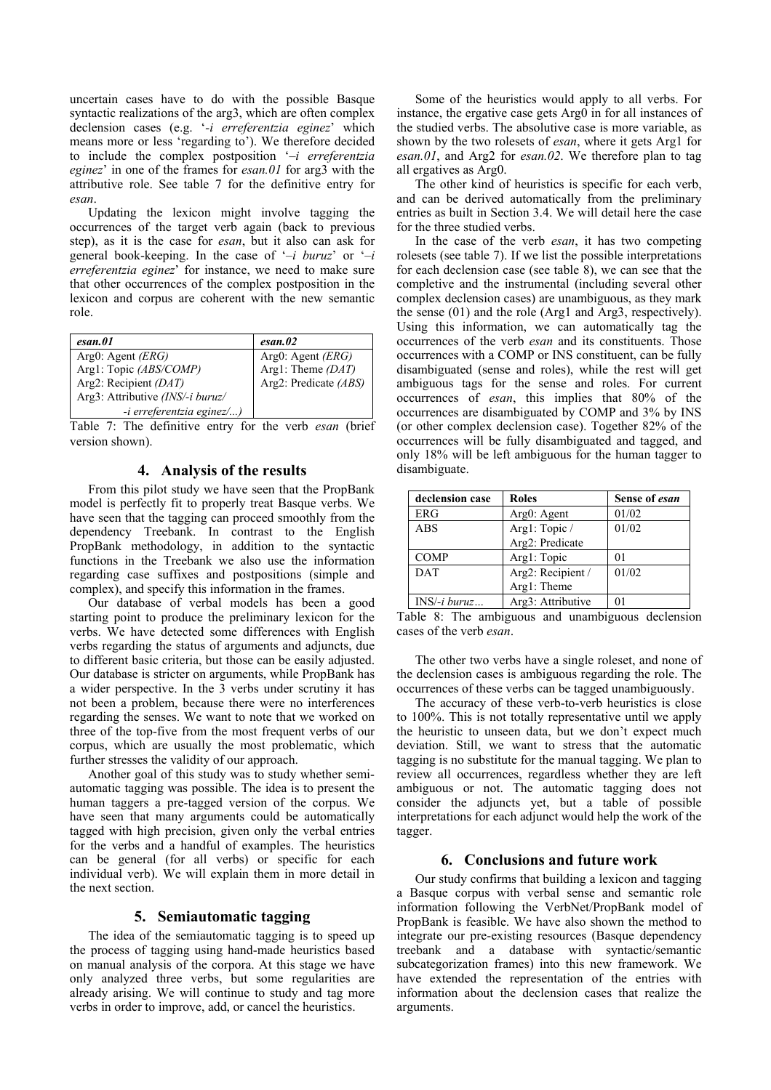uncertain cases have to do with the possible Basque syntactic realizations of the arg3, which are often complex declension cases (e.g. '*-i erreferentzia eginez*' which means more or less 'regarding to'). We therefore decided to include the complex postposition '*–i erreferentzia eginez*' in one of the frames for *esan.01* for arg3 with the attributive role. See table 7 for the definitive entry for *esan*.

Updating the lexicon might involve tagging the occurrences of the target verb again (back to previous step), as it is the case for *esan*, but it also can ask for general book-keeping. In the case of '*–i buruz*' or '*–i erreferentzia eginez*' for instance, we need to make sure that other occurrences of the complex postposition in the lexicon and corpus are coherent with the new semantic role.

| esan.01                          | esan.02                        |
|----------------------------------|--------------------------------|
| Arg $0$ : Agent <i>(ERG)</i>     | Arg $0$ : Agent ( <i>ERG</i> ) |
| Arg1: Topic (ABS/COMP)           | Arg1: Theme (DAT)              |
| Arg2: Recipient (DAT)            | Arg2: Predicate (ABS)          |
| Arg3: Attributive (INS/-i buruz/ |                                |
| -i erreferentzia eginez/)        |                                |

Table 7: The definitive entry for the verb *esan* (brief version shown).

#### **4. Analysis of the results**

From this pilot study we have seen that the PropBank model is perfectly fit to properly treat Basque verbs. We have seen that the tagging can proceed smoothly from the dependency Treebank. In contrast to the English PropBank methodology, in addition to the syntactic functions in the Treebank we also use the information regarding case suffixes and postpositions (simple and complex), and specify this information in the frames.

Our database of verbal models has been a good starting point to produce the preliminary lexicon for the verbs. We have detected some differences with English verbs regarding the status of arguments and adjuncts, due to different basic criteria, but those can be easily adjusted. Our database is stricter on arguments, while PropBank has a wider perspective. In the 3 verbs under scrutiny it has not been a problem, because there were no interferences regarding the senses. We want to note that we worked on three of the top-five from the most frequent verbs of our corpus, which are usually the most problematic, which further stresses the validity of our approach.

Another goal of this study was to study whether semiautomatic tagging was possible. The idea is to present the human taggers a pre-tagged version of the corpus. We have seen that many arguments could be automatically tagged with high precision, given only the verbal entries for the verbs and a handful of examples. The heuristics can be general (for all verbs) or specific for each individual verb). We will explain them in more detail in the next section.

## **5. Semiautomatic tagging**

The idea of the semiautomatic tagging is to speed up the process of tagging using hand-made heuristics based on manual analysis of the corpora. At this stage we have only analyzed three verbs, but some regularities are already arising. We will continue to study and tag more verbs in order to improve, add, or cancel the heuristics.

Some of the heuristics would apply to all verbs. For instance, the ergative case gets Arg0 in for all instances of the studied verbs. The absolutive case is more variable, as shown by the two rolesets of *esan*, where it gets Arg1 for *esan.01*, and Arg2 for *esan.02*. We therefore plan to tag all ergatives as Arg0.

The other kind of heuristics is specific for each verb, and can be derived automatically from the preliminary entries as built in Section 3.4. We will detail here the case for the three studied verbs.

In the case of the verb *esan*, it has two competing rolesets (see table 7). If we list the possible interpretations for each declension case (see table 8), we can see that the completive and the instrumental (including several other complex declension cases) are unambiguous, as they mark the sense (01) and the role (Arg1 and Arg3, respectively). Using this information, we can automatically tag the occurrences of the verb *esan* and its constituents. Those occurrences with a COMP or INS constituent, can be fully disambiguated (sense and roles), while the rest will get ambiguous tags for the sense and roles. For current occurrences of *esan*, this implies that 80% of the occurrences are disambiguated by COMP and 3% by INS (or other complex declension case). Together 82% of the occurrences will be fully disambiguated and tagged, and only 18% will be left ambiguous for the human tagger to disambiguate.

| declension case | <b>Roles</b>      | Sense of esan |
|-----------------|-------------------|---------------|
| <b>ERG</b>      | Arg0: Agent       | 01/02         |
| <b>ABS</b>      | Arg1: Topic /     | 01/02         |
|                 | Arg2: Predicate   |               |
| <b>COMP</b>     | Arg1: Topic       | 01            |
| <b>DAT</b>      | Arg2: Recipient / | 01/02         |
|                 | Arg1: Theme       |               |
| $INS/-i$ buruz  | Arg3: Attributive | 01            |

Table 8: The ambiguous and unambiguous declension cases of the verb *esan*.

The other two verbs have a single roleset, and none of the declension cases is ambiguous regarding the role. The occurrences of these verbs can be tagged unambiguously.

The accuracy of these verb-to-verb heuristics is close to 100%. This is not totally representative until we apply the heuristic to unseen data, but we don't expect much deviation. Still, we want to stress that the automatic tagging is no substitute for the manual tagging. We plan to review all occurrences, regardless whether they are left ambiguous or not. The automatic tagging does not consider the adjuncts yet, but a table of possible interpretations for each adjunct would help the work of the tagger.

#### **6. Conclusions and future work**

Our study confirms that building a lexicon and tagging a Basque corpus with verbal sense and semantic role information following the VerbNet/PropBank model of PropBank is feasible. We have also shown the method to integrate our pre-existing resources (Basque dependency treebank and a database with syntactic/semantic subcategorization frames) into this new framework. We have extended the representation of the entries with information about the declension cases that realize the arguments.